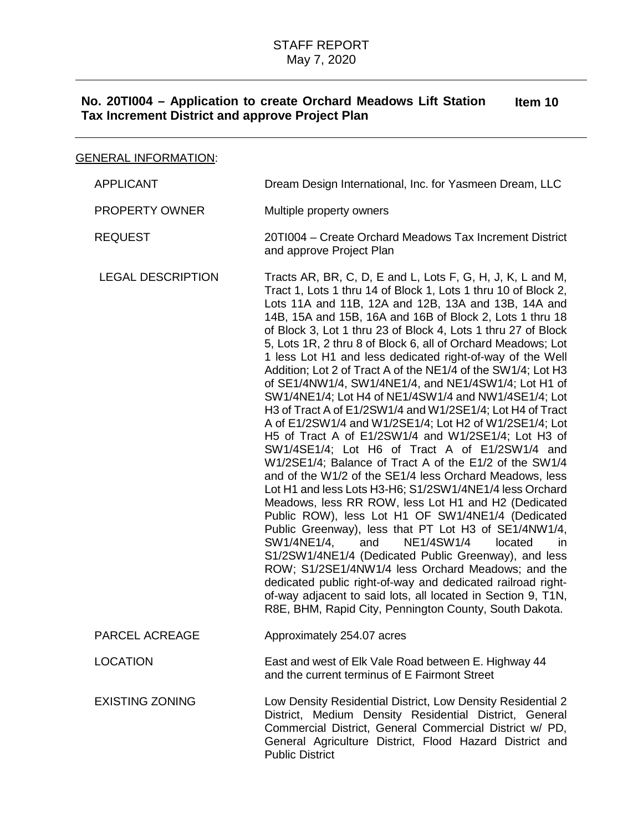# GENERAL INFORMATION:

| <b>APPLICANT</b>         | Dream Design International, Inc. for Yasmeen Dream, LLC                                                                                                                                                                                                                                                                                                                                                                                                                                                                                                                                                                                                                                                                                                                                                                                                                                                                                                                                                                                                                                                                                                                                                                                                                                                                                                                                                                                                                                                                                                                              |
|--------------------------|--------------------------------------------------------------------------------------------------------------------------------------------------------------------------------------------------------------------------------------------------------------------------------------------------------------------------------------------------------------------------------------------------------------------------------------------------------------------------------------------------------------------------------------------------------------------------------------------------------------------------------------------------------------------------------------------------------------------------------------------------------------------------------------------------------------------------------------------------------------------------------------------------------------------------------------------------------------------------------------------------------------------------------------------------------------------------------------------------------------------------------------------------------------------------------------------------------------------------------------------------------------------------------------------------------------------------------------------------------------------------------------------------------------------------------------------------------------------------------------------------------------------------------------------------------------------------------------|
| PROPERTY OWNER           | Multiple property owners                                                                                                                                                                                                                                                                                                                                                                                                                                                                                                                                                                                                                                                                                                                                                                                                                                                                                                                                                                                                                                                                                                                                                                                                                                                                                                                                                                                                                                                                                                                                                             |
| <b>REQUEST</b>           | 20TI004 - Create Orchard Meadows Tax Increment District<br>and approve Project Plan                                                                                                                                                                                                                                                                                                                                                                                                                                                                                                                                                                                                                                                                                                                                                                                                                                                                                                                                                                                                                                                                                                                                                                                                                                                                                                                                                                                                                                                                                                  |
| <b>LEGAL DESCRIPTION</b> | Tracts AR, BR, C, D, E and L, Lots F, G, H, J, K, L and M,<br>Tract 1, Lots 1 thru 14 of Block 1, Lots 1 thru 10 of Block 2,<br>Lots 11A and 11B, 12A and 12B, 13A and 13B, 14A and<br>14B, 15A and 15B, 16A and 16B of Block 2, Lots 1 thru 18<br>of Block 3, Lot 1 thru 23 of Block 4, Lots 1 thru 27 of Block<br>5, Lots 1R, 2 thru 8 of Block 6, all of Orchard Meadows; Lot<br>1 less Lot H1 and less dedicated right-of-way of the Well<br>Addition; Lot 2 of Tract A of the NE1/4 of the SW1/4; Lot H3<br>of SE1/4NW1/4, SW1/4NE1/4, and NE1/4SW1/4; Lot H1 of<br>SW1/4NE1/4; Lot H4 of NE1/4SW1/4 and NW1/4SE1/4; Lot<br>H3 of Tract A of E1/2SW1/4 and W1/2SE1/4; Lot H4 of Tract<br>A of E1/2SW1/4 and W1/2SE1/4; Lot H2 of W1/2SE1/4; Lot<br>H5 of Tract A of E1/2SW1/4 and W1/2SE1/4; Lot H3 of<br>SW1/4SE1/4; Lot H6 of Tract A of E1/2SW1/4 and<br>W1/2SE1/4; Balance of Tract A of the E1/2 of the SW1/4<br>and of the W1/2 of the SE1/4 less Orchard Meadows, less<br>Lot H1 and less Lots H3-H6; S1/2SW1/4NE1/4 less Orchard<br>Meadows, less RR ROW, less Lot H1 and H2 (Dedicated<br>Public ROW), less Lot H1 OF SW1/4NE1/4 (Dedicated<br>Public Greenway), less that PT Lot H3 of SE1/4NW1/4,<br><b>NE1/4SW1/4</b><br>SW1/4NE1/4,<br>and<br>located<br>in.<br>S1/2SW1/4NE1/4 (Dedicated Public Greenway), and less<br>ROW; S1/2SE1/4NW1/4 less Orchard Meadows; and the<br>dedicated public right-of-way and dedicated railroad right-<br>of-way adjacent to said lots, all located in Section 9, T1N,<br>R8E, BHM, Rapid City, Pennington County, South Dakota. |
| PARCEL ACREAGE           | Approximately 254.07 acres                                                                                                                                                                                                                                                                                                                                                                                                                                                                                                                                                                                                                                                                                                                                                                                                                                                                                                                                                                                                                                                                                                                                                                                                                                                                                                                                                                                                                                                                                                                                                           |
| <b>LOCATION</b>          | East and west of Elk Vale Road between E. Highway 44<br>and the current terminus of E Fairmont Street                                                                                                                                                                                                                                                                                                                                                                                                                                                                                                                                                                                                                                                                                                                                                                                                                                                                                                                                                                                                                                                                                                                                                                                                                                                                                                                                                                                                                                                                                |
| <b>EXISTING ZONING</b>   | Low Density Residential District, Low Density Residential 2<br>District, Medium Density Residential District, General<br>Commercial District, General Commercial District w/ PD,<br>General Agriculture District, Flood Hazard District and<br><b>Public District</b>                                                                                                                                                                                                                                                                                                                                                                                                                                                                                                                                                                                                                                                                                                                                                                                                                                                                                                                                                                                                                                                                                                                                                                                                                                                                                                                |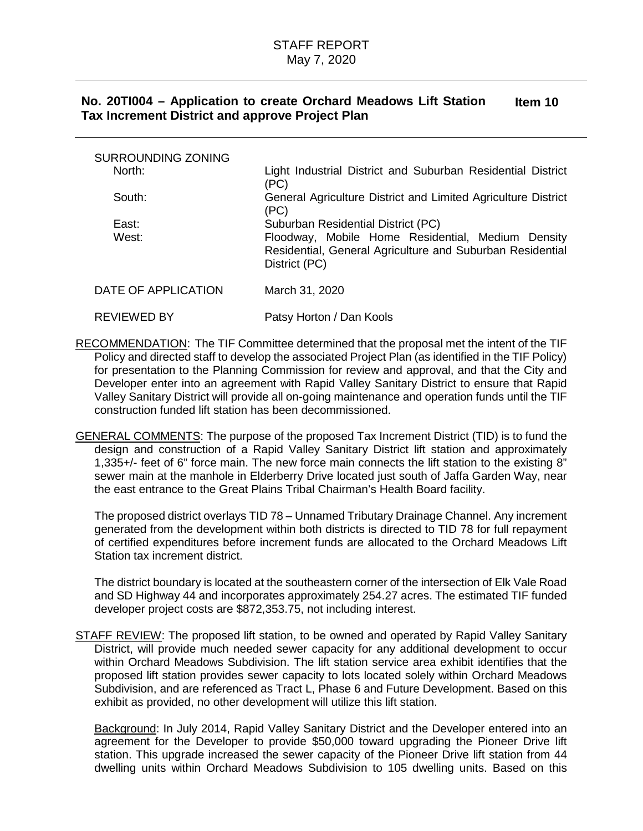| <b>SURROUNDING ZONING</b> |                                                                                                                                 |
|---------------------------|---------------------------------------------------------------------------------------------------------------------------------|
| North:                    | Light Industrial District and Suburban Residential District<br>(PC)                                                             |
| South:                    | General Agriculture District and Limited Agriculture District<br>(PC)                                                           |
| East:                     | Suburban Residential District (PC)                                                                                              |
| West:                     | Floodway, Mobile Home Residential, Medium Density<br>Residential, General Agriculture and Suburban Residential<br>District (PC) |
| DATE OF APPLICATION       | March 31, 2020                                                                                                                  |
|                           |                                                                                                                                 |

RECOMMENDATION: The TIF Committee determined that the proposal met the intent of the TIF Policy and directed staff to develop the associated Project Plan (as identified in the TIF Policy) for presentation to the Planning Commission for review and approval, and that the City and Developer enter into an agreement with Rapid Valley Sanitary District to ensure that Rapid Valley Sanitary District will provide all on-going maintenance and operation funds until the TIF

REVIEWED BY Patsy Horton / Dan Kools

construction funded lift station has been decommissioned.

GENERAL COMMENTS: The purpose of the proposed Tax Increment District (TID) is to fund the design and construction of a Rapid Valley Sanitary District lift station and approximately 1,335+/- feet of 6" force main. The new force main connects the lift station to the existing 8" sewer main at the manhole in Elderberry Drive located just south of Jaffa Garden Way, near the east entrance to the Great Plains Tribal Chairman's Health Board facility.

The proposed district overlays TID 78 – Unnamed Tributary Drainage Channel. Any increment generated from the development within both districts is directed to TID 78 for full repayment of certified expenditures before increment funds are allocated to the Orchard Meadows Lift Station tax increment district.

The district boundary is located at the southeastern corner of the intersection of Elk Vale Road and SD Highway 44 and incorporates approximately 254.27 acres. The estimated TIF funded developer project costs are \$872,353.75, not including interest.

STAFF REVIEW: The proposed lift station, to be owned and operated by Rapid Valley Sanitary District, will provide much needed sewer capacity for any additional development to occur within Orchard Meadows Subdivision. The lift station service area exhibit identifies that the proposed lift station provides sewer capacity to lots located solely within Orchard Meadows Subdivision, and are referenced as Tract L, Phase 6 and Future Development. Based on this exhibit as provided, no other development will utilize this lift station.

Background: In July 2014, Rapid Valley Sanitary District and the Developer entered into an agreement for the Developer to provide \$50,000 toward upgrading the Pioneer Drive lift station. This upgrade increased the sewer capacity of the Pioneer Drive lift station from 44 dwelling units within Orchard Meadows Subdivision to 105 dwelling units. Based on this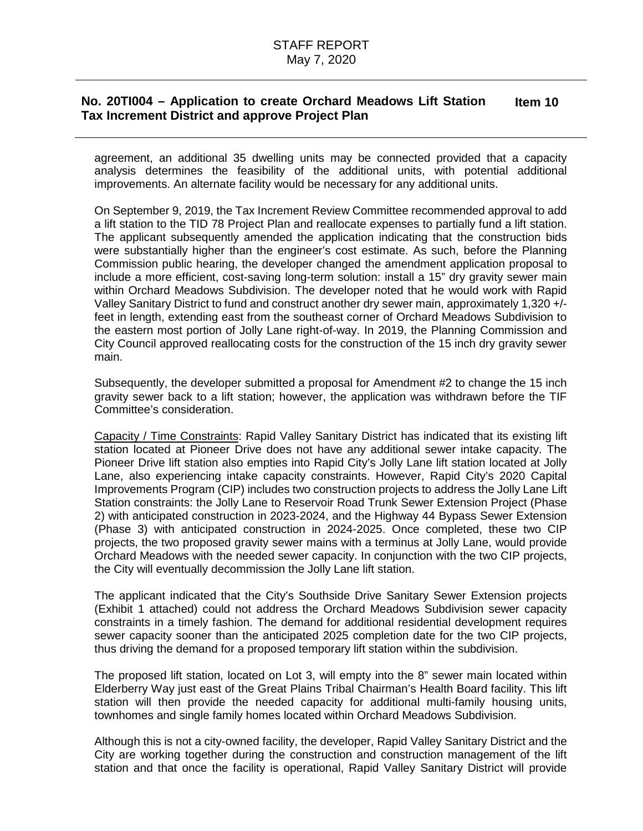agreement, an additional 35 dwelling units may be connected provided that a capacity analysis determines the feasibility of the additional units, with potential additional improvements. An alternate facility would be necessary for any additional units.

On September 9, 2019, the Tax Increment Review Committee recommended approval to add a lift station to the TID 78 Project Plan and reallocate expenses to partially fund a lift station. The applicant subsequently amended the application indicating that the construction bids were substantially higher than the engineer's cost estimate. As such, before the Planning Commission public hearing, the developer changed the amendment application proposal to include a more efficient, cost-saving long-term solution: install a 15" dry gravity sewer main within Orchard Meadows Subdivision. The developer noted that he would work with Rapid Valley Sanitary District to fund and construct another dry sewer main, approximately 1,320 +/ feet in length, extending east from the southeast corner of Orchard Meadows Subdivision to the eastern most portion of Jolly Lane right-of-way. In 2019, the Planning Commission and City Council approved reallocating costs for the construction of the 15 inch dry gravity sewer main.

Subsequently, the developer submitted a proposal for Amendment #2 to change the 15 inch gravity sewer back to a lift station; however, the application was withdrawn before the TIF Committee's consideration.

Capacity / Time Constraints: Rapid Valley Sanitary District has indicated that its existing lift station located at Pioneer Drive does not have any additional sewer intake capacity. The Pioneer Drive lift station also empties into Rapid City's Jolly Lane lift station located at Jolly Lane, also experiencing intake capacity constraints. However, Rapid City's 2020 Capital Improvements Program (CIP) includes two construction projects to address the Jolly Lane Lift Station constraints: the Jolly Lane to Reservoir Road Trunk Sewer Extension Project (Phase 2) with anticipated construction in 2023-2024, and the Highway 44 Bypass Sewer Extension (Phase 3) with anticipated construction in 2024-2025. Once completed, these two CIP projects, the two proposed gravity sewer mains with a terminus at Jolly Lane, would provide Orchard Meadows with the needed sewer capacity. In conjunction with the two CIP projects, the City will eventually decommission the Jolly Lane lift station.

The applicant indicated that the City's Southside Drive Sanitary Sewer Extension projects (Exhibit 1 attached) could not address the Orchard Meadows Subdivision sewer capacity constraints in a timely fashion. The demand for additional residential development requires sewer capacity sooner than the anticipated 2025 completion date for the two CIP projects, thus driving the demand for a proposed temporary lift station within the subdivision.

The proposed lift station, located on Lot 3, will empty into the 8" sewer main located within Elderberry Way just east of the Great Plains Tribal Chairman's Health Board facility. This lift station will then provide the needed capacity for additional multi-family housing units, townhomes and single family homes located within Orchard Meadows Subdivision.

Although this is not a city-owned facility, the developer, Rapid Valley Sanitary District and the City are working together during the construction and construction management of the lift station and that once the facility is operational, Rapid Valley Sanitary District will provide